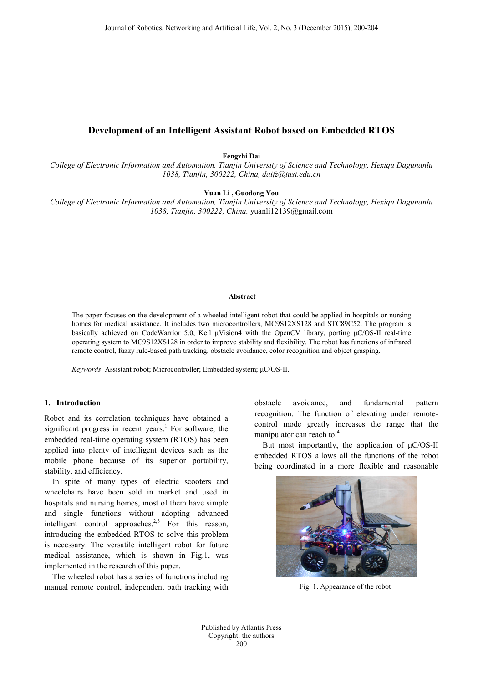# **Development of an Intelligent Assistant Robot based on Embedded RTOS**

**Fengzhi Dai**

*College of Electronic Information and Automation, Tianjin University of Science and Technology, Hexiqu Dagunanlu 1038, Tianjin, 300222, China, daifz@tust.edu.cn*

**Yuan Li , Guodong You**

*College of Electronic Information and Automation, Tianjin University of Science and Technology, Hexiqu Dagunanlu 1038, Tianjin, 300222, China,* yuanli12139@gmail.com

#### **Abstract**

The paper focuses on the development of a wheeled intelligent robot that could be applied in hospitals or nursing homes for medical assistance. It includes two microcontrollers, MC9S12XS128 and STC89C52. The program is basically achieved on CodeWarrior 5.0, Keil μVision4 with the OpenCV library, porting μC/OS-II real-time operating system to MC9S12XS128 in order to improve stability and flexibility. The robot has functions of infrared remote control, fuzzy rule-based path tracking, obstacle avoidance, color recognition and object grasping.

*Keywords*: Assistant robot; Microcontroller; Embedded system; μC/OS-II.

## **1. Introduction**

Robot and its correlation techniques have obtained a significant progress in recent years. <sup>1</sup> For software, the embedded real-time operating system (RTOS) has been applied into plenty of intelligent devices such as the mobile phone because of its superior portability, stability, and efficiency.

In spite of many types of electric scooters and wheelchairs have been sold in market and used in hospitals and nursing homes, most of them have simple and single functions without adopting advanced intelligent control approaches.<sup>2,3</sup> For this reason, introducing the embedded RTOS to solve this problem is necessary. The versatile intelligent robot for future medical assistance, which is shown in Fig.1, was implemented in the research of this paper.

The wheeled robot has a series of functions including manual remote control, independent path tracking with obstacle avoidance, and fundamental pattern recognition. The function of elevating under remotecontrol mode greatly increases the range that the manipulator can reach to.<sup>4</sup>

But most importantly, the application of  $\mu$ C/OS-II embedded RTOS allows all the functions of the robot being coordinated in a more flexible and reasonable



Fig. 1. Appearance of the robot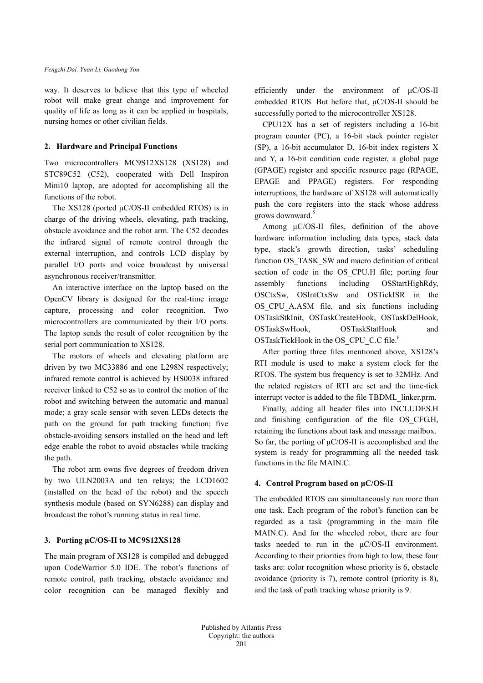way. It deserves to believe that this type of wheeled robot will make great change and improvement for quality of life as long as it can be applied in hospitals, nursing homes or other civilian fields.

### **2. Hardware and Principal Functions**

Two microcontrollers MC9S12XS128 (XS128) and STC89C52 (C52), cooperated with Dell Inspiron Mini10 laptop, are adopted for accomplishing all the functions of the robot.

The XS128 (ported μC/OS-II embedded RTOS) is in charge of the driving wheels, elevating, path tracking, obstacle avoidance and the robot arm. The C52 decodes the infrared signal of remote control through the external interruption, and controls LCD display by parallel I/O ports and voice broadcast by universal asynchronous receiver/transmitter.

An interactive interface on the laptop based on the OpenCV library is designed for the real-time image capture, processing and color recognition. Two microcontrollers are communicated by their I/O ports. The laptop sends the result of color recognition by the serial port communication to XS128.

The motors of wheels and elevating platform are driven by two MC33886 and one L298N respectively; infrared remote control is achieved by HS0038 infrared receiver linked to C52 so as to control the motion of the robot and switching between the automatic and manual mode; a gray scale sensor with seven LEDs detects the path on the ground for path tracking function; five obstacle-avoiding sensors installed on the head and left edge enable the robot to avoid obstacles while tracking the path.

The robot arm owns five degrees of freedom driven by two ULN2003A and ten relays; the LCD1602 (installed on the head of the robot) and the speech synthesis module (based on SYN6288) can display and broadcast the robot's running status in real time.

## **3. Porting μC/OS-II to MC9S12XS128**

The main program of XS128 is compiled and debugged upon CodeWarrior 5.0 IDE. The robot's functions of remote control, path tracking, obstacle avoidance and color recognition can be managed flexibly and

efficiently under the environment of μC/OS-II embedded RTOS. But before that, μC/OS-II should be successfully ported to the microcontroller XS128.

CPU12X has a set of registers including a 16-bit program counter (PC), a 16-bit stack pointer register (SP), a 16-bit accumulator D, 16-bit index registers X and Y, a 16-bit condition code register, a global page (GPAGE) register and specific resource page (RPAGE, EPAGE and PPAGE) registers. For responding interruptions, the hardware of XS128 will automatically push the core registers into the stack whose address grows downward.<sup>5</sup>

Among μC/OS-II files, definition of the above hardware information including data types, stack data type, stack's growth direction, tasks' scheduling function OS\_TASK\_SW and macro definition of critical section of code in the OS\_CPU.H file; porting four assembly functions including OSStartHighRdy, OSCtxSw, OSIntCtxSw and OSTickISR in the OS\_CPU\_A.ASM file, and six functions including OSTaskStkInit, OSTaskCreateHook, OSTaskDelHook, OSTaskSwHook, OSTaskStatHook and OSTaskTickHook in the OS\_CPU\_C.C file. 6

After porting three files mentioned above, XS128's RTI module is used to make a system clock for the RTOS. The system bus frequency is set to 32MHz. And the related registers of RTI are set and the time-tick interrupt vector is added to the file TBDML\_linker.prm.

Finally, adding all header files into INCLUDES.H and finishing configuration of the file OS\_CFG.H, retaining the functions about task and message mailbox. So far, the porting of μC/OS-II is accomplished and the system is ready for programming all the needed task functions in the file MAIN.C.

### **4. Control Program based on μC/OS-II**

The embedded RTOS can simultaneously run more than one task. Each program of the robot's function can be regarded as a task (programming in the main file MAIN.C). And for the wheeled robot, there are four tasks needed to run in the μC/OS-II environment. According to their priorities from high to low, these four tasks are: color recognition whose priority is 6, obstacle avoidance (priority is 7), remote control (priority is 8), and the task of path tracking whose priority is 9.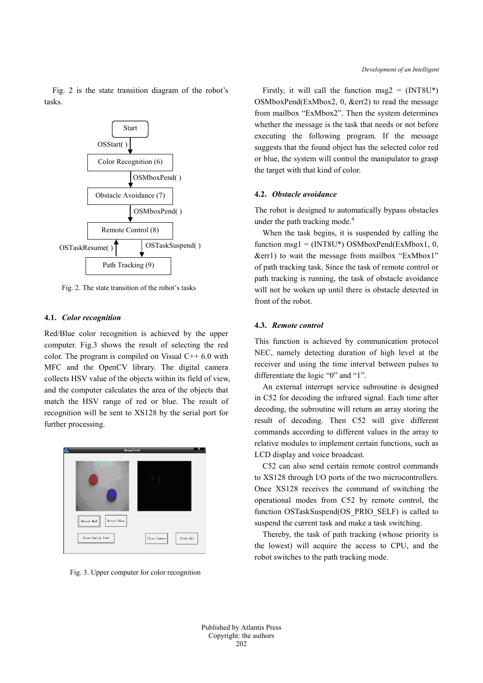

Fig. 2 is the state transition diagram of the robot's tasks.

Fig. 2. The state transition of the robot's tasks

#### **4.1.** *Color recognition*

Red/Blue color recognition is achieved by the upper computer. Fig.3 shows the result of selecting the red color. The program is compiled on Visual  $C++6.0$  with MFC and the OpenCV library. The digital camera collects HSV value of the objects within its field of view, and the computer calculates the area of the objects that match the HSV range of red or blue. The result of recognition will be sent to XS128 by the serial port for further processing.



Fig. 3. Upper computer for color recognition

Firstly, it will call the function msg2 =  $(INT8U^*)$ OSMboxPend(ExMbox2, 0, &err2) to read the message from mailbox "ExMbox2". Then the system determines whether the message is the task that needs or not before executing the following program. If the message suggests that the found object has the selected color red or blue, the system will control the manipulator to grasp the target with that kind of color.

### **4.2.** *Obstacle avoidance*

The robot is designed to automatically bypass obstacles under the path tracking mode. $4$ 

When the task begins, it is suspended by calling the function msg1 =  $(INT8U^*)$  OSMboxPend(ExMbox1, 0, &err1) to wait the message from mailbox "ExMbox1" of path tracking task. Since the task of remote control or path tracking is running, the task of obstacle avoidance will not be woken up until there is obstacle detected in front of the robot.

#### **4.3.** *Remote control*

This function is achieved by communication protocol NEC, namely detecting duration of high level at the receiver and using the time interval between pulses to differentiate the logic "0" and "1".

An external interrupt service subroutine is designed in C52 for decoding the infrared signal. Each time after decoding, the subroutine will return an array storing the result of decoding. Then C52 will give different commands according to different values in the array to relative modules to implement certain functions, such as LCD display and voice broadcast.

C52 can also send certain remote control commands to XS128 through I/O ports of the two microcontrollers. Once XS128 receives the command of switching the operational modes from C52 by remote control, the function OSTaskSuspend(OS\_PRIO\_SELF) is called to suspend the current task and make a task switching.

Thereby, the task of path tracking (whose priority is the lowest) will acquire the access to CPU, and the robot switches to the path tracking mode.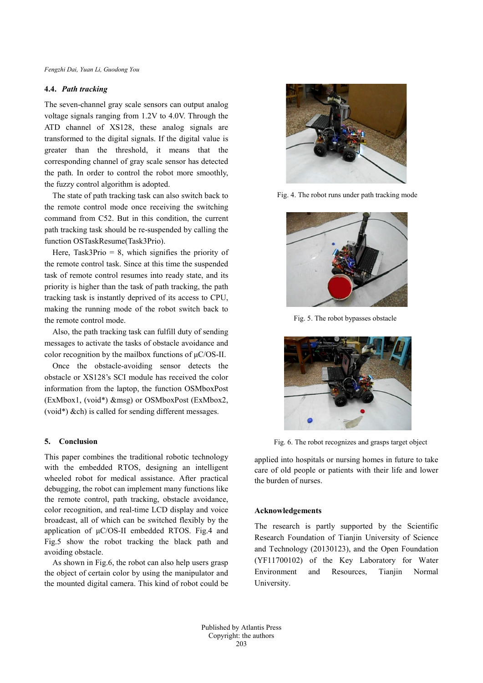#### **4.4.** *Path tracking*

The seven-channel gray scale sensors can output analog voltage signals ranging from 1.2V to 4.0V. Through the ATD channel of XS128, these analog signals are transformed to the digital signals. If the digital value is greater than the threshold, it means that the corresponding channel of gray scale sensor has detected the path. In order to control the robot more smoothly, the fuzzy control algorithm is adopted.

The state of path tracking task can also switch back to the remote control mode once receiving the switching command from C52. But in this condition, the current path tracking task should be re-suspended by calling the function OSTaskResume(Task3Prio).

Here, Task3Prio  $= 8$ , which signifies the priority of the remote control task. Since at this time the suspended task of remote control resumes into ready state, and its priority is higher than the task of path tracking, the path tracking task is instantly deprived of its access to CPU, making the running mode of the robot switch back to the remote control mode.

Also, the path tracking task can fulfill duty of sending messages to activate the tasks of obstacle avoidance and color recognition by the mailbox functions of μC/OS-II.

Once the obstacle-avoiding sensor detects the obstacle or XS128's SCI module has received the color information from the laptop, the function OSMboxPost (ExMbox1, (void\*) &msg) or OSMboxPost (ExMbox2, (void\*) &ch) is called for sending different messages.

## **5. Conclusion**

This paper combines the traditional robotic technology with the embedded RTOS, designing an intelligent wheeled robot for medical assistance. After practical debugging, the robot can implement many functions like the remote control, path tracking, obstacle avoidance, color recognition, and real-time LCD display and voice broadcast, all of which can be switched flexibly by the application of μC/OS-II embedded RTOS. Fig.4 and Fig.5 show the robot tracking the black path and avoiding obstacle.

 As shown in Fig.6, the robot can also help users grasp the object of certain color by using the manipulator and the mounted digital camera. This kind of robot could be



Fig. 4. The robot runs under path tracking mode



Fig. 5. The robot bypasses obstacle



Fig. 6. The robot recognizes and grasps target object

applied into hospitals or nursing homes in future to take care of old people or patients with their life and lower the burden of nurses.

### **Acknowledgements**

The research is partly supported by the Scientific Research Foundation of Tianjin University of Science and Technology (20130123), and the Open Foundation (YF11700102) of the Key Laboratory for Water Environment and Resources, Tianjin Normal University.